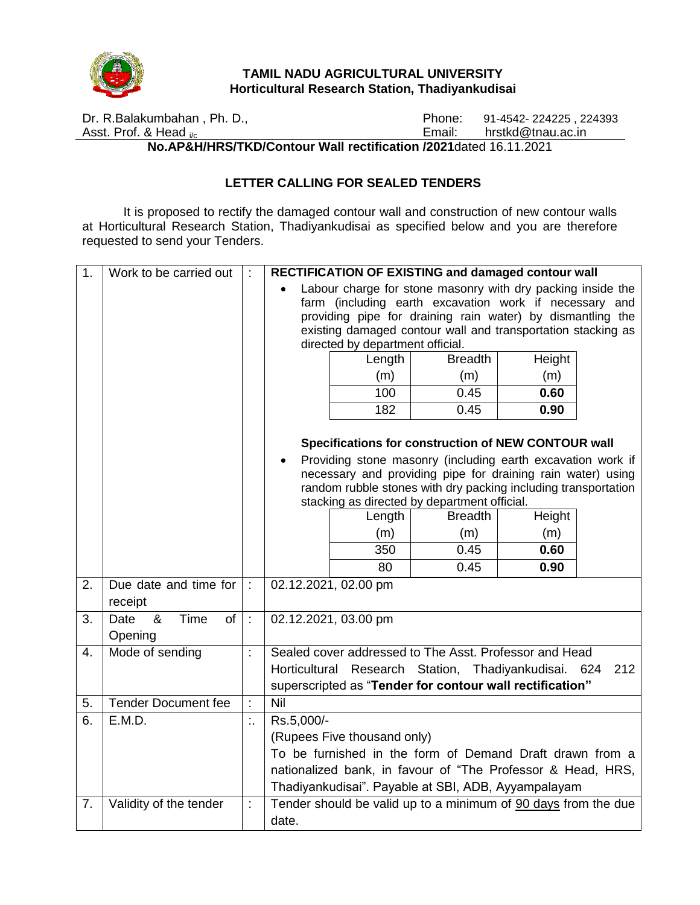

#### **TAMIL NADU AGRICULTURAL UNIVERSITY Horticultural Research Station, Thadiyankudisai**

Dr. R.Balakumbahan , Ph. D., Asst. Prof. & Head i/c Phone: 91-4542- 224225, 224393<br>Email: hrstkd@tnau.ac.in hrstkd@tnau.ac.in

**No.AP&H/HRS/TKD/Contour Wall rectification /2021**dated 16.11.2021

## **LETTER CALLING FOR SEALED TENDERS**

It is proposed to rectify the damaged contour wall and construction of new contour walls at Horticultural Research Station, Thadiyankudisai as specified below and you are therefore requested to send your Tenders.

| 1. | Work to be carried out                    |    | RECTIFICATION OF EXISTING and damaged contour wall                                                                                                                                                                                                                                      |                      |                                                             |      |  |  |
|----|-------------------------------------------|----|-----------------------------------------------------------------------------------------------------------------------------------------------------------------------------------------------------------------------------------------------------------------------------------------|----------------------|-------------------------------------------------------------|------|--|--|
|    |                                           |    | Labour charge for stone masonry with dry packing inside the<br>farm (including earth excavation work if necessary and<br>providing pipe for draining rain water) by dismantling the<br>existing damaged contour wall and transportation stacking as<br>directed by department official. |                      |                                                             |      |  |  |
|    |                                           |    | <b>Breadth</b><br>Height<br>Length                                                                                                                                                                                                                                                      |                      |                                                             |      |  |  |
|    |                                           |    |                                                                                                                                                                                                                                                                                         | (m)                  | (m)                                                         | (m)  |  |  |
|    |                                           |    |                                                                                                                                                                                                                                                                                         | 100                  | 0.45                                                        | 0.60 |  |  |
|    |                                           |    |                                                                                                                                                                                                                                                                                         | 182                  | 0.45                                                        | 0.90 |  |  |
|    |                                           |    | Specifications for construction of NEW CONTOUR wall<br>Providing stone masonry (including earth excavation work if<br>$\bullet$                                                                                                                                                         |                      |                                                             |      |  |  |
|    |                                           |    |                                                                                                                                                                                                                                                                                         |                      | necessary and providing pipe for draining rain water) using |      |  |  |
|    |                                           |    | random rubble stones with dry packing including transportation                                                                                                                                                                                                                          |                      |                                                             |      |  |  |
|    |                                           |    | stacking as directed by department official.<br><b>Breadth</b><br>Length<br>Height                                                                                                                                                                                                      |                      |                                                             |      |  |  |
|    |                                           |    |                                                                                                                                                                                                                                                                                         | (m)                  | (m)                                                         | (m)  |  |  |
|    |                                           |    |                                                                                                                                                                                                                                                                                         | 350                  | 0.45                                                        | 0.60 |  |  |
|    |                                           |    |                                                                                                                                                                                                                                                                                         | 80                   | 0.45                                                        | 0.90 |  |  |
| 2. | Due date and time for<br>receipt          | t. |                                                                                                                                                                                                                                                                                         | 02.12.2021, 02.00 pm |                                                             |      |  |  |
| 3. | &<br>Time<br><b>of</b><br>Date<br>Opening | ł. | 02.12.2021, 03.00 pm                                                                                                                                                                                                                                                                    |                      |                                                             |      |  |  |
| 4. | Mode of sending                           |    | Sealed cover addressed to The Asst. Professor and Head                                                                                                                                                                                                                                  |                      |                                                             |      |  |  |
|    |                                           |    | Horticultural Research Station, Thadiyankudisai. 624<br>212                                                                                                                                                                                                                             |                      |                                                             |      |  |  |
|    |                                           |    | superscripted as "Tender for contour wall rectification"                                                                                                                                                                                                                                |                      |                                                             |      |  |  |
| 5. | <b>Tender Document fee</b>                | ł. | Ni <sub>1</sub>                                                                                                                                                                                                                                                                         |                      |                                                             |      |  |  |
| 6. | E.M.D.                                    |    | Rs.5,000/-                                                                                                                                                                                                                                                                              |                      |                                                             |      |  |  |
|    |                                           |    | (Rupees Five thousand only)                                                                                                                                                                                                                                                             |                      |                                                             |      |  |  |
|    |                                           |    | To be furnished in the form of Demand Draft drawn from a                                                                                                                                                                                                                                |                      |                                                             |      |  |  |
|    |                                           |    | nationalized bank, in favour of "The Professor & Head, HRS,                                                                                                                                                                                                                             |                      |                                                             |      |  |  |
|    |                                           |    | Thadiyankudisai". Payable at SBI, ADB, Ayyampalayam                                                                                                                                                                                                                                     |                      |                                                             |      |  |  |
| 7. | Validity of the tender                    |    | Tender should be valid up to a minimum of 90 days from the due                                                                                                                                                                                                                          |                      |                                                             |      |  |  |
|    |                                           |    | date.                                                                                                                                                                                                                                                                                   |                      |                                                             |      |  |  |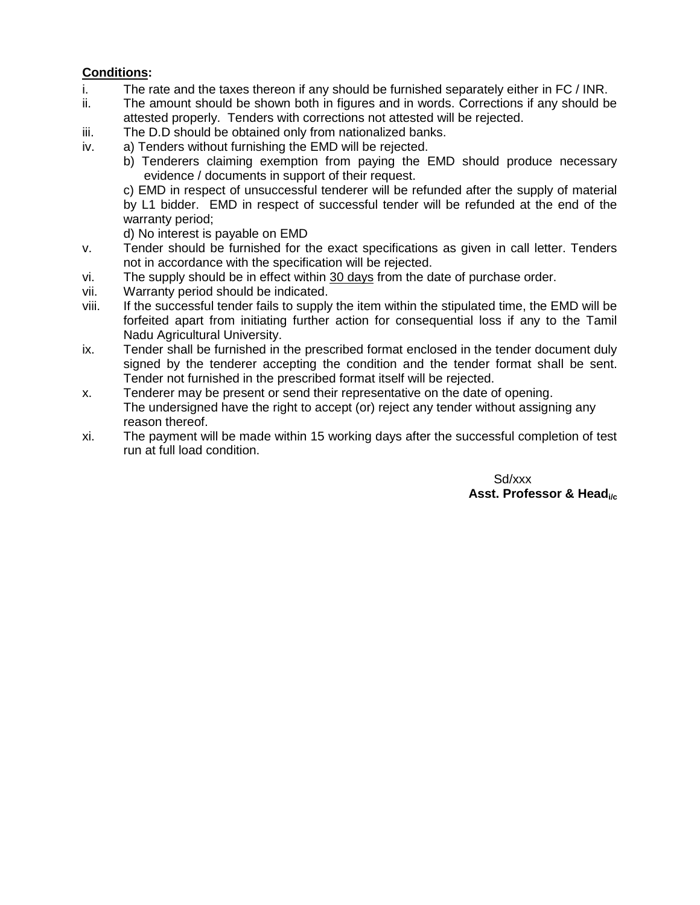# **Conditions:**

- i. The rate and the taxes thereon if any should be furnished separately either in FC / INR.
- ii. The amount should be shown both in figures and in words. Corrections if any should be attested properly. Tenders with corrections not attested will be rejected.
- iii. The D.D should be obtained only from nationalized banks.
- iv. a) Tenders without furnishing the EMD will be rejected.
	- b) Tenderers claiming exemption from paying the EMD should produce necessary evidence / documents in support of their request.

c) EMD in respect of unsuccessful tenderer will be refunded after the supply of material by L1 bidder. EMD in respect of successful tender will be refunded at the end of the warranty period;

d) No interest is payable on EMD

- v. Tender should be furnished for the exact specifications as given in call letter. Tenders not in accordance with the specification will be rejected.
- vi. The supply should be in effect within 30 days from the date of purchase order.
- vii. Warranty period should be indicated.
- viii. If the successful tender fails to supply the item within the stipulated time, the EMD will be forfeited apart from initiating further action for consequential loss if any to the Tamil Nadu Agricultural University.
- ix. Tender shall be furnished in the prescribed format enclosed in the tender document duly signed by the tenderer accepting the condition and the tender format shall be sent. Tender not furnished in the prescribed format itself will be rejected.
- x. Tenderer may be present or send their representative on the date of opening. The undersigned have the right to accept (or) reject any tender without assigning any reason thereof.
- xi. The payment will be made within 15 working days after the successful completion of test run at full load condition.

Sd/xxx **Asst. Professor & Headi/c**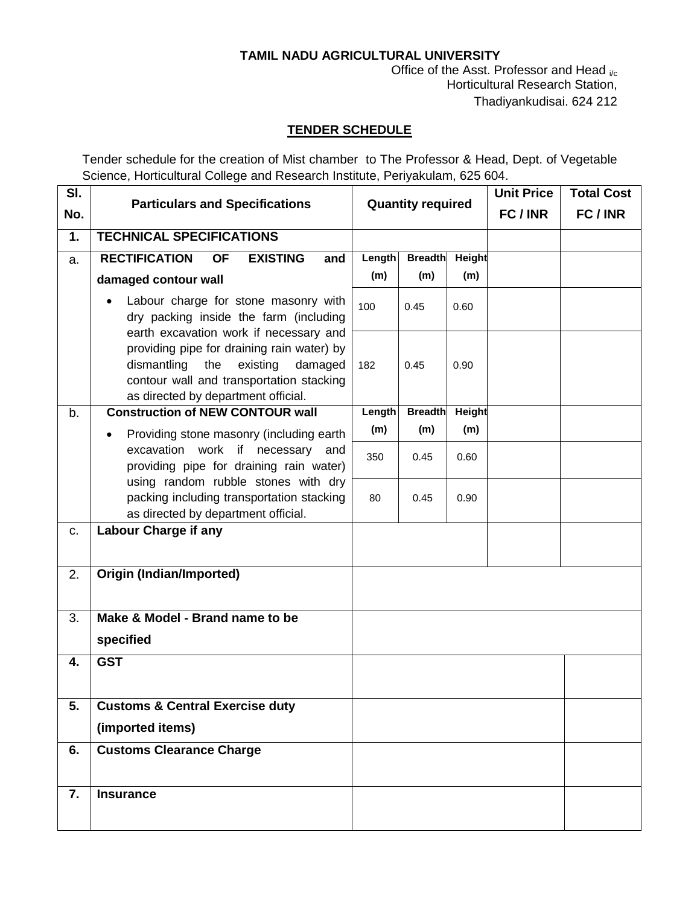# **TAMIL NADU AGRICULTURAL UNIVERSITY**

Office of the Asst. Professor and Head  $_{i/c}$ Horticultural Research Station, Thadiyankudisai. 624 212

## **TENDER SCHEDULE**

Tender schedule for the creation of Mist chamber to The Professor & Head, Dept. of Vegetable Science, Horticultural College and Research Institute, Periyakulam, 625 604.

| SI. |                                                                                                                                                                            |                          |                |        |        | <b>Total Cost</b> |
|-----|----------------------------------------------------------------------------------------------------------------------------------------------------------------------------|--------------------------|----------------|--------|--------|-------------------|
| No. | <b>Particulars and Specifications</b>                                                                                                                                      | <b>Quantity required</b> |                |        | FC/INR | FC/INR            |
| 1.  | <b>TECHNICAL SPECIFICATIONS</b>                                                                                                                                            |                          |                |        |        |                   |
| a.  | <b>RECTIFICATION</b><br><b>EXISTING</b><br><b>OF</b><br>and                                                                                                                | Length                   | <b>Breadth</b> | Height |        |                   |
|     | damaged contour wall                                                                                                                                                       | (m)                      | (m)            | (m)    |        |                   |
|     | Labour charge for stone masonry with<br>dry packing inside the farm (including<br>earth excavation work if necessary and                                                   | 100                      | 0.45           | 0.60   |        |                   |
|     | providing pipe for draining rain water) by<br>dismantling<br>existing<br>damaged<br>the<br>contour wall and transportation stacking<br>as directed by department official. | 182                      | 0.45           | 0.90   |        |                   |
| b.  | <b>Construction of NEW CONTOUR wall</b>                                                                                                                                    | Length                   | <b>Breadth</b> | Height |        |                   |
|     | Providing stone masonry (including earth)<br>$\bullet$                                                                                                                     | (m)                      | (m)            | (m)    |        |                   |
|     | excavation work if necessary and<br>providing pipe for draining rain water)                                                                                                | 350                      | 0.45           | 0.60   |        |                   |
|     | using random rubble stones with dry<br>packing including transportation stacking<br>as directed by department official.                                                    | 80                       | 0.45           | 0.90   |        |                   |
| c.  | <b>Labour Charge if any</b>                                                                                                                                                |                          |                |        |        |                   |
| 2.  | <b>Origin (Indian/Imported)</b>                                                                                                                                            |                          |                |        |        |                   |
| 3.  | Make & Model - Brand name to be<br>specified                                                                                                                               |                          |                |        |        |                   |
| 4.  | <b>GST</b>                                                                                                                                                                 |                          |                |        |        |                   |
| 5.  | <b>Customs &amp; Central Exercise duty</b><br>(imported items)                                                                                                             |                          |                |        |        |                   |
| 6.  | <b>Customs Clearance Charge</b>                                                                                                                                            |                          |                |        |        |                   |
| 7.  | <b>Insurance</b>                                                                                                                                                           |                          |                |        |        |                   |